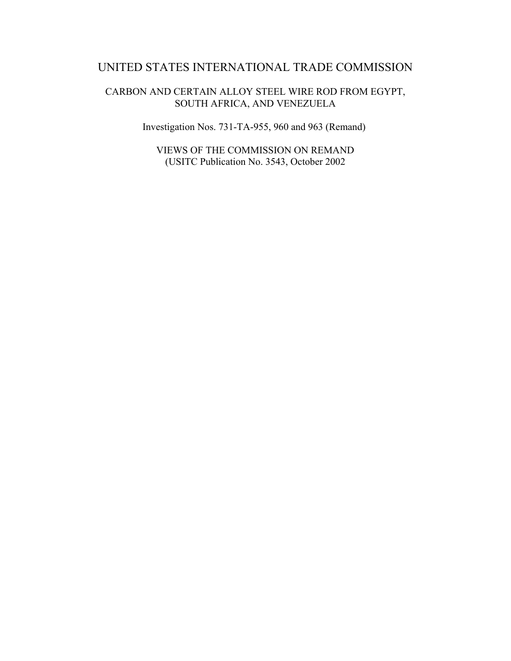# UNITED STATES INTERNATIONAL TRADE COMMISSION

CARBON AND CERTAIN ALLOY STEEL WIRE ROD FROM EGYPT, SOUTH AFRICA, AND VENEZUELA

Investigation Nos. 731-TA-955, 960 and 963 (Remand)

VIEWS OF THE COMMISSION ON REMAND (USITC Publication No. 3543, October 2002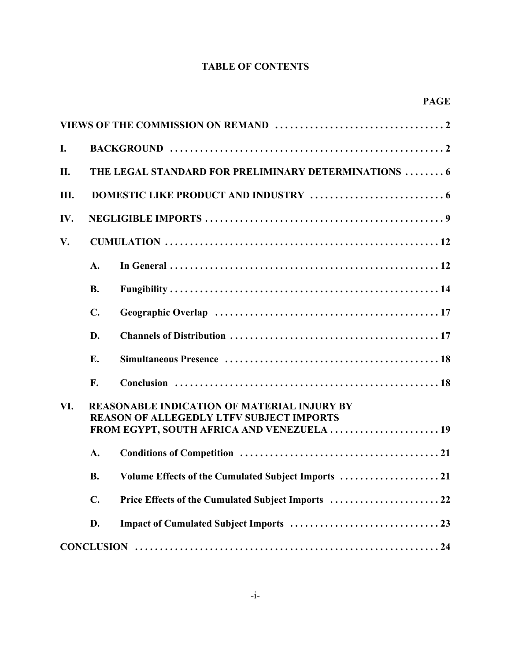# **TABLE OF CONTENTS**

|     |                                                                                                                                                     | <b>PAGE</b> |
|-----|-----------------------------------------------------------------------------------------------------------------------------------------------------|-------------|
|     |                                                                                                                                                     |             |
| I.  |                                                                                                                                                     |             |
| II. | THE LEGAL STANDARD FOR PRELIMINARY DETERMINATIONS  6                                                                                                |             |
| Ш.  |                                                                                                                                                     |             |
| IV. |                                                                                                                                                     |             |
| V.  |                                                                                                                                                     |             |
|     | A.                                                                                                                                                  |             |
|     | <b>B.</b>                                                                                                                                           |             |
|     | $\mathbf{C}$ .                                                                                                                                      |             |
|     | D.                                                                                                                                                  |             |
|     | E.                                                                                                                                                  |             |
|     | F.                                                                                                                                                  |             |
| VI. | <b>REASONABLE INDICATION OF MATERIAL INJURY BY</b><br><b>REASON OF ALLEGEDLY LTFV SUBJECT IMPORTS</b><br>FROM EGYPT, SOUTH AFRICA AND VENEZUELA  19 |             |
|     | A.                                                                                                                                                  |             |
|     | <b>B.</b>                                                                                                                                           |             |
|     | $C_{\bullet}$                                                                                                                                       |             |
|     | D.                                                                                                                                                  |             |
|     |                                                                                                                                                     |             |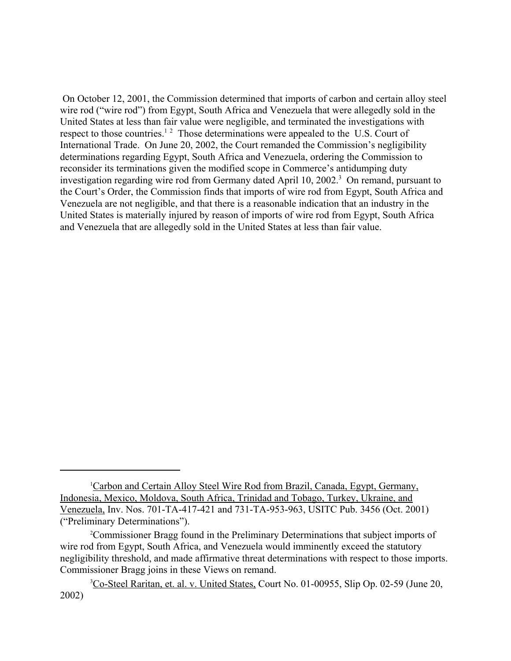On October 12, 2001, the Commission determined that imports of carbon and certain alloy steel wire rod ("wire rod") from Egypt, South Africa and Venezuela that were allegedly sold in the United States at less than fair value were negligible, and terminated the investigations with respect to those countries.<sup>12</sup> Those determinations were appealed to the U.S. Court of International Trade. On June 20, 2002, the Court remanded the Commission's negligibility determinations regarding Egypt, South Africa and Venezuela, ordering the Commission to reconsider its terminations given the modified scope in Commerce's antidumping duty investigation regarding wire rod from Germany dated April 10, 2002.<sup>3</sup> On remand, pursuant to the Court's Order, the Commission finds that imports of wire rod from Egypt, South Africa and Venezuela are not negligible, and that there is a reasonable indication that an industry in the United States is materially injured by reason of imports of wire rod from Egypt, South Africa and Venezuela that are allegedly sold in the United States at less than fair value.

<sup>&</sup>lt;sup>1</sup>Carbon and Certain Alloy Steel Wire Rod from Brazil, Canada, Egypt, Germany, Indonesia, Mexico, Moldova, South Africa, Trinidad and Tobago, Turkey, Ukraine, and Venezuela, Inv. Nos. 701-TA-417-421 and 731-TA-953-963, USITC Pub. 3456 (Oct. 2001) ("Preliminary Determinations").

<sup>2</sup> Commissioner Bragg found in the Preliminary Determinations that subject imports of wire rod from Egypt, South Africa, and Venezuela would imminently exceed the statutory negligibility threshold, and made affirmative threat determinations with respect to those imports. Commissioner Bragg joins in these Views on remand.

<sup>&</sup>lt;sup>3</sup>Co-Steel Raritan, et. al. v. United States, Court No. 01-00955, Slip Op. 02-59 (June 20, 2002)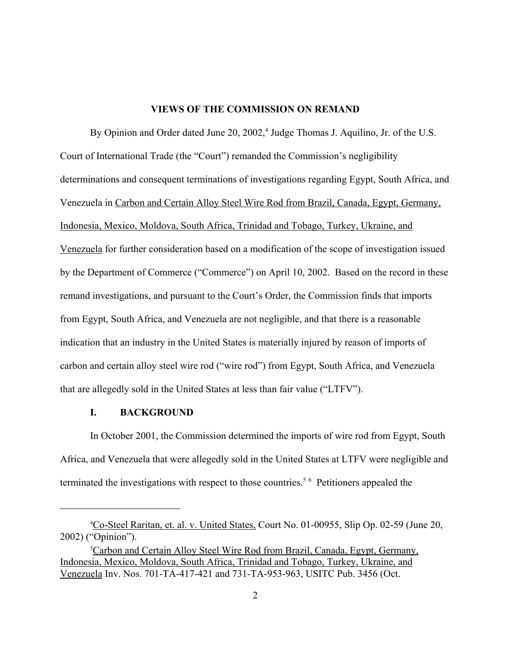#### **VIEWS OF THE COMMISSION ON REMAND**

By Opinion and Order dated June 20, 2002,<sup>4</sup> Judge Thomas J. Aquilino, Jr. of the U.S. Court of International Trade (the "Court") remanded the Commission's negligibility determinations and consequent terminations of investigations regarding Egypt, South Africa, and Venezuela in Carbon and Certain Alloy Steel Wire Rod from Brazil, Canada, Egypt, Germany, Indonesia, Mexico, Moldova, South Africa, Trinidad and Tobago, Turkey, Ukraine, and Venezuela for further consideration based on a modification of the scope of investigation issued by the Department of Commerce ("Commerce") on April 10, 2002. Based on the record in these remand investigations, and pursuant to the Court's Order, the Commission finds that imports from Egypt, South Africa, and Venezuela are not negligible, and that there is a reasonable indication that an industry in the United States is materially injured by reason of imports of carbon and certain alloy steel wire rod ("wire rod") from Egypt, South Africa, and Venezuela that are allegedly sold in the United States at less than fair value ("LTFV").

## **I. BACKGROUND**

In October 2001, the Commission determined the imports of wire rod from Egypt, South Africa, and Venezuela that were allegedly sold in the United States at LTFV were negligible and terminated the investigations with respect to those countries.<sup>56</sup> Petitioners appealed the

<sup>&</sup>lt;sup>4</sup>Co-Steel Raritan, et. al. v. United States, Court No. 01-00955, Slip Op. 02-59 (June 20, 2002) ("Opinion").

<sup>&</sup>lt;sup>5</sup>Carbon and Certain Alloy Steel Wire Rod from Brazil, Canada, Egypt, Germany, Indonesia, Mexico, Moldova, South Africa, Trinidad and Tobago, Turkey, Ukraine, and Venezuela Inv. Nos. 701-TA-417-421 and 731-TA-953-963, USITC Pub. 3456 (Oct.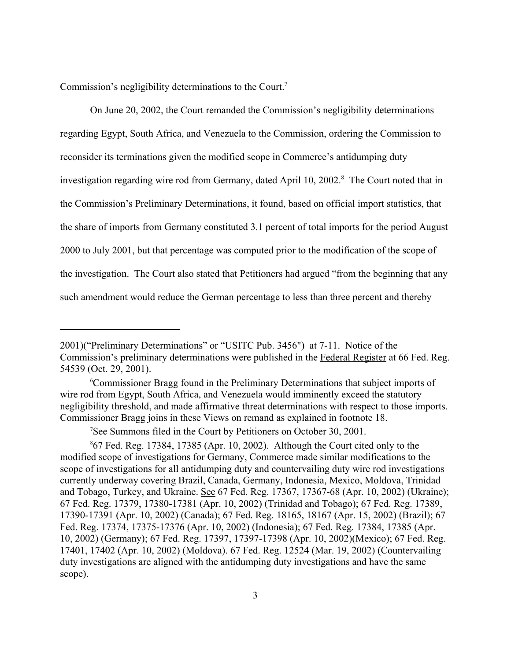Commission's negligibility determinations to the Court.<sup>7</sup>

On June 20, 2002, the Court remanded the Commission's negligibility determinations regarding Egypt, South Africa, and Venezuela to the Commission, ordering the Commission to reconsider its terminations given the modified scope in Commerce's antidumping duty investigation regarding wire rod from Germany, dated April 10, 2002.<sup>8</sup> The Court noted that in the Commission's Preliminary Determinations, it found, based on official import statistics, that the share of imports from Germany constituted 3.1 percent of total imports for the period August 2000 to July 2001, but that percentage was computed prior to the modification of the scope of the investigation. The Court also stated that Petitioners had argued "from the beginning that any such amendment would reduce the German percentage to less than three percent and thereby

<sup>2001)(&</sup>quot;Preliminary Determinations" or "USITC Pub. 3456") at 7-11. Notice of the Commission's preliminary determinations were published in the Federal Register at 66 Fed. Reg. 54539 (Oct. 29, 2001).

<sup>6</sup> Commissioner Bragg found in the Preliminary Determinations that subject imports of wire rod from Egypt, South Africa, and Venezuela would imminently exceed the statutory negligibility threshold, and made affirmative threat determinations with respect to those imports. Commissioner Bragg joins in these Views on remand as explained in footnote 18.

<sup>&</sup>lt;sup>7</sup>See Summons filed in the Court by Petitioners on October 30, 2001.

<sup>8</sup> 67 Fed. Reg. 17384, 17385 (Apr. 10, 2002). Although the Court cited only to the modified scope of investigations for Germany, Commerce made similar modifications to the scope of investigations for all antidumping duty and countervailing duty wire rod investigations currently underway covering Brazil, Canada, Germany, Indonesia, Mexico, Moldova, Trinidad and Tobago, Turkey, and Ukraine. See 67 Fed. Reg. 17367, 17367-68 (Apr. 10, 2002) (Ukraine); 67 Fed. Reg. 17379, 17380-17381 (Apr. 10, 2002) (Trinidad and Tobago); 67 Fed. Reg. 17389, 17390-17391 (Apr. 10, 2002) (Canada); 67 Fed. Reg. 18165, 18167 (Apr. 15, 2002) (Brazil); 67 Fed. Reg. 17374, 17375-17376 (Apr. 10, 2002) (Indonesia); 67 Fed. Reg. 17384, 17385 (Apr. 10, 2002) (Germany); 67 Fed. Reg. 17397, 17397-17398 (Apr. 10, 2002)(Mexico); 67 Fed. Reg. 17401, 17402 (Apr. 10, 2002) (Moldova). 67 Fed. Reg. 12524 (Mar. 19, 2002) (Countervailing duty investigations are aligned with the antidumping duty investigations and have the same scope).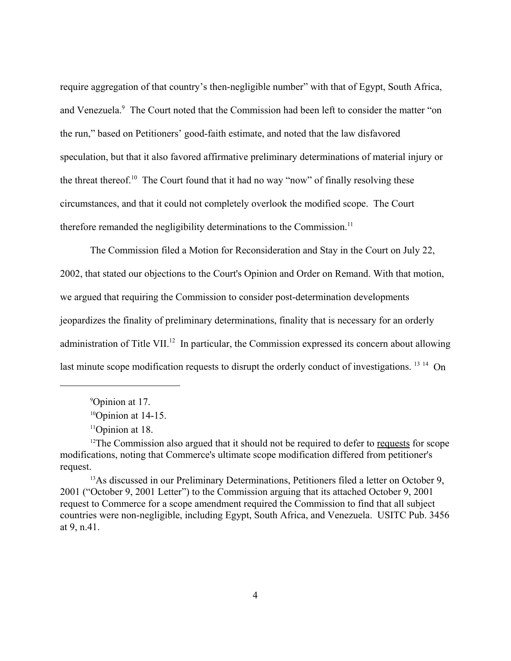require aggregation of that country's then-negligible number" with that of Egypt, South Africa, and Venezuela.<sup>9</sup> The Court noted that the Commission had been left to consider the matter "on the run," based on Petitioners' good-faith estimate, and noted that the law disfavored speculation, but that it also favored affirmative preliminary determinations of material injury or the threat thereof.<sup>10</sup> The Court found that it had no way "now" of finally resolving these circumstances, and that it could not completely overlook the modified scope. The Court therefore remanded the negligibility determinations to the Commission.<sup>11</sup>

The Commission filed a Motion for Reconsideration and Stay in the Court on July 22, 2002, that stated our objections to the Court's Opinion and Order on Remand. With that motion, we argued that requiring the Commission to consider post-determination developments jeopardizes the finality of preliminary determinations, finality that is necessary for an orderly administration of Title VII.<sup>12</sup> In particular, the Commission expressed its concern about allowing last minute scope modification requests to disrupt the orderly conduct of investigations. <sup>13 14</sup> On

<sup>9</sup> Opinion at 17.

 $10$ Opinion at 14-15.

<sup>&</sup>lt;sup>11</sup>Opinion at 18.

<sup>&</sup>lt;sup>12</sup>The Commission also argued that it should not be required to defer to requests for scope modifications, noting that Commerce's ultimate scope modification differed from petitioner's request.

<sup>&</sup>lt;sup>13</sup>As discussed in our Preliminary Determinations, Petitioners filed a letter on October 9, 2001 ("October 9, 2001 Letter") to the Commission arguing that its attached October 9, 2001 request to Commerce for a scope amendment required the Commission to find that all subject countries were non-negligible, including Egypt, South Africa, and Venezuela. USITC Pub. 3456 at 9, n.41.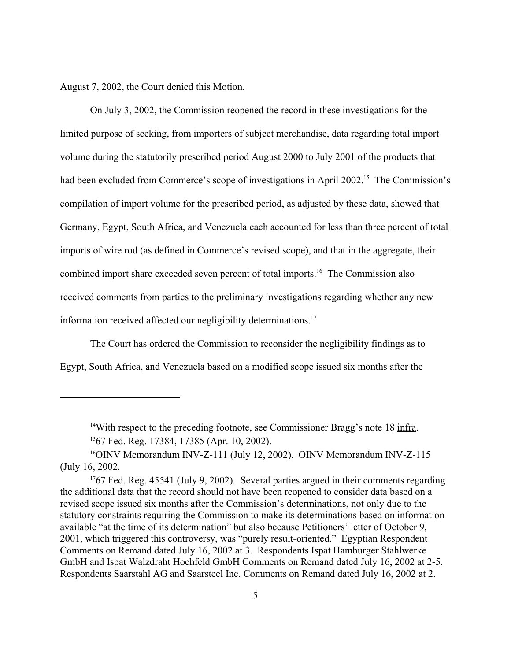August 7, 2002, the Court denied this Motion.

On July 3, 2002, the Commission reopened the record in these investigations for the limited purpose of seeking, from importers of subject merchandise, data regarding total import volume during the statutorily prescribed period August 2000 to July 2001 of the products that had been excluded from Commerce's scope of investigations in April 2002.<sup>15</sup> The Commission's compilation of import volume for the prescribed period, as adjusted by these data, showed that Germany, Egypt, South Africa, and Venezuela each accounted for less than three percent of total imports of wire rod (as defined in Commerce's revised scope), and that in the aggregate, their combined import share exceeded seven percent of total imports.16 The Commission also received comments from parties to the preliminary investigations regarding whether any new information received affected our negligibility determinations.<sup>17</sup>

The Court has ordered the Commission to reconsider the negligibility findings as to Egypt, South Africa, and Venezuela based on a modified scope issued six months after the

<sup>&</sup>lt;sup>14</sup>With respect to the preceding footnote, see Commissioner Bragg's note 18 infra. 1567 Fed. Reg. 17384, 17385 (Apr. 10, 2002).

<sup>&</sup>lt;sup>16</sup>OINV Memorandum INV-Z-111 (July 12, 2002). OINV Memorandum INV-Z-115 (July 16, 2002.

<sup>&</sup>lt;sup>17</sup>67 Fed. Reg. 45541 (July 9, 2002). Several parties argued in their comments regarding the additional data that the record should not have been reopened to consider data based on a revised scope issued six months after the Commission's determinations, not only due to the statutory constraints requiring the Commission to make its determinations based on information available "at the time of its determination" but also because Petitioners' letter of October 9, 2001, which triggered this controversy, was "purely result-oriented." Egyptian Respondent Comments on Remand dated July 16, 2002 at 3. Respondents Ispat Hamburger Stahlwerke GmbH and Ispat Walzdraht Hochfeld GmbH Comments on Remand dated July 16, 2002 at 2-5. Respondents Saarstahl AG and Saarsteel Inc. Comments on Remand dated July 16, 2002 at 2.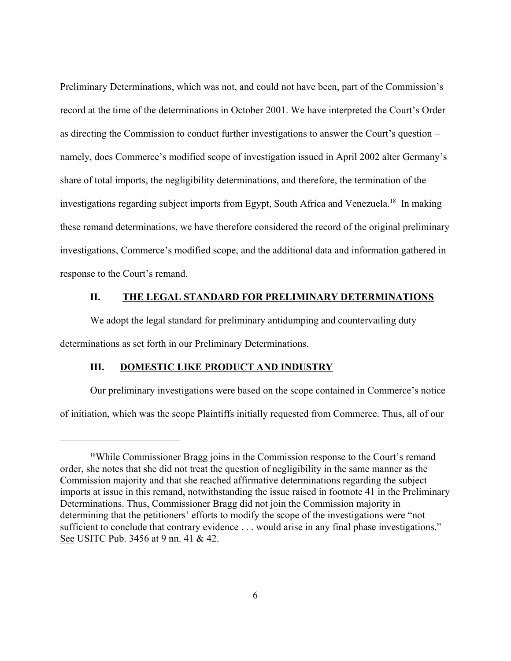Preliminary Determinations, which was not, and could not have been, part of the Commission's record at the time of the determinations in October 2001. We have interpreted the Court's Order as directing the Commission to conduct further investigations to answer the Court's question – namely, does Commerce's modified scope of investigation issued in April 2002 alter Germany's share of total imports, the negligibility determinations, and therefore, the termination of the investigations regarding subject imports from Egypt, South Africa and Venezuela.<sup>18</sup> In making these remand determinations, we have therefore considered the record of the original preliminary investigations, Commerce's modified scope, and the additional data and information gathered in response to the Court's remand.

# **II. THE LEGAL STANDARD FOR PRELIMINARY DETERMINATIONS**

We adopt the legal standard for preliminary antidumping and countervailing duty determinations as set forth in our Preliminary Determinations.

### **III. DOMESTIC LIKE PRODUCT AND INDUSTRY**

Our preliminary investigations were based on the scope contained in Commerce's notice of initiation, which was the scope Plaintiffs initially requested from Commerce. Thus, all of our

<sup>&</sup>lt;sup>18</sup>While Commissioner Bragg joins in the Commission response to the Court's remand order, she notes that she did not treat the question of negligibility in the same manner as the Commission majority and that she reached affirmative determinations regarding the subject imports at issue in this remand, notwithstanding the issue raised in footnote 41 in the Preliminary Determinations. Thus, Commissioner Bragg did not join the Commission majority in determining that the petitioners' efforts to modify the scope of the investigations were "not sufficient to conclude that contrary evidence . . . would arise in any final phase investigations." See USITC Pub. 3456 at 9 nn. 41 & 42.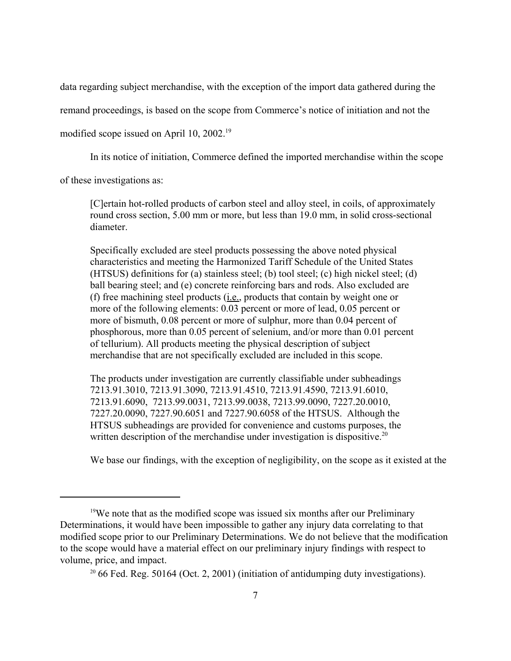data regarding subject merchandise, with the exception of the import data gathered during the

remand proceedings, is based on the scope from Commerce's notice of initiation and not the

modified scope issued on April 10, 2002.<sup>19</sup>

In its notice of initiation, Commerce defined the imported merchandise within the scope

of these investigations as:

[C]ertain hot-rolled products of carbon steel and alloy steel, in coils, of approximately round cross section, 5.00 mm or more, but less than 19.0 mm, in solid cross-sectional diameter.

Specifically excluded are steel products possessing the above noted physical characteristics and meeting the Harmonized Tariff Schedule of the United States (HTSUS) definitions for (a) stainless steel; (b) tool steel; (c) high nickel steel; (d) ball bearing steel; and (e) concrete reinforcing bars and rods. Also excluded are (f) free machining steel products (i.e., products that contain by weight one or more of the following elements: 0.03 percent or more of lead, 0.05 percent or more of bismuth, 0.08 percent or more of sulphur, more than 0.04 percent of phosphorous, more than 0.05 percent of selenium, and/or more than 0.01 percent of tellurium). All products meeting the physical description of subject merchandise that are not specifically excluded are included in this scope.

The products under investigation are currently classifiable under subheadings 7213.91.3010, 7213.91.3090, 7213.91.4510, 7213.91.4590, 7213.91.6010, 7213.91.6090, 7213.99.0031, 7213.99.0038, 7213.99.0090, 7227.20.0010, 7227.20.0090, 7227.90.6051 and 7227.90.6058 of the HTSUS. Although the HTSUS subheadings are provided for convenience and customs purposes, the written description of the merchandise under investigation is dispositive.<sup>20</sup>

We base our findings, with the exception of negligibility, on the scope as it existed at the

<sup>&</sup>lt;sup>19</sup>We note that as the modified scope was issued six months after our Preliminary Determinations, it would have been impossible to gather any injury data correlating to that modified scope prior to our Preliminary Determinations. We do not believe that the modification to the scope would have a material effect on our preliminary injury findings with respect to volume, price, and impact.

<sup>20</sup> 66 Fed. Reg. 50164 (Oct. 2, 2001) (initiation of antidumping duty investigations).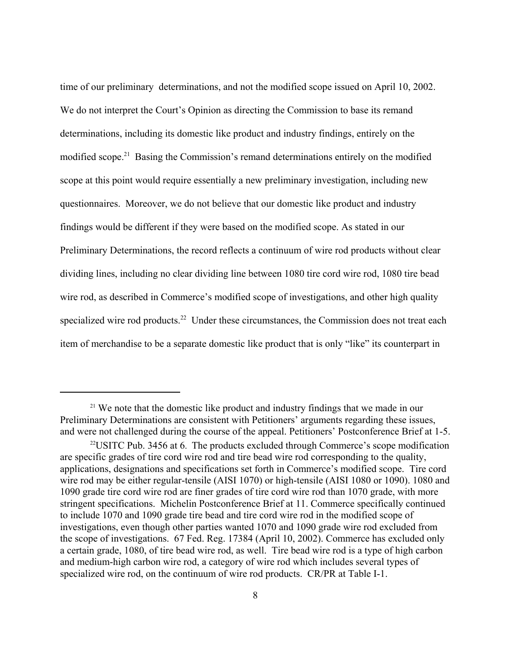time of our preliminary determinations, and not the modified scope issued on April 10, 2002. We do not interpret the Court's Opinion as directing the Commission to base its remand determinations, including its domestic like product and industry findings, entirely on the modified scope.<sup>21</sup> Basing the Commission's remand determinations entirely on the modified scope at this point would require essentially a new preliminary investigation, including new questionnaires. Moreover, we do not believe that our domestic like product and industry findings would be different if they were based on the modified scope. As stated in our Preliminary Determinations, the record reflects a continuum of wire rod products without clear dividing lines, including no clear dividing line between 1080 tire cord wire rod, 1080 tire bead wire rod, as described in Commerce's modified scope of investigations, and other high quality specialized wire rod products.<sup>22</sup> Under these circumstances, the Commission does not treat each item of merchandise to be a separate domestic like product that is only "like" its counterpart in

<sup>&</sup>lt;sup>21</sup> We note that the domestic like product and industry findings that we made in our Preliminary Determinations are consistent with Petitioners' arguments regarding these issues, and were not challenged during the course of the appeal. Petitioners' Postconference Brief at 1-5.

<sup>22</sup>USITC Pub. 3456 at 6. The products excluded through Commerce's scope modification are specific grades of tire cord wire rod and tire bead wire rod corresponding to the quality, applications, designations and specifications set forth in Commerce's modified scope. Tire cord wire rod may be either regular-tensile (AISI 1070) or high-tensile (AISI 1080 or 1090). 1080 and 1090 grade tire cord wire rod are finer grades of tire cord wire rod than 1070 grade, with more stringent specifications. Michelin Postconference Brief at 11. Commerce specifically continued to include 1070 and 1090 grade tire bead and tire cord wire rod in the modified scope of investigations, even though other parties wanted 1070 and 1090 grade wire rod excluded from the scope of investigations. 67 Fed. Reg. 17384 (April 10, 2002). Commerce has excluded only a certain grade, 1080, of tire bead wire rod, as well. Tire bead wire rod is a type of high carbon and medium-high carbon wire rod, a category of wire rod which includes several types of specialized wire rod, on the continuum of wire rod products. CR/PR at Table I-1.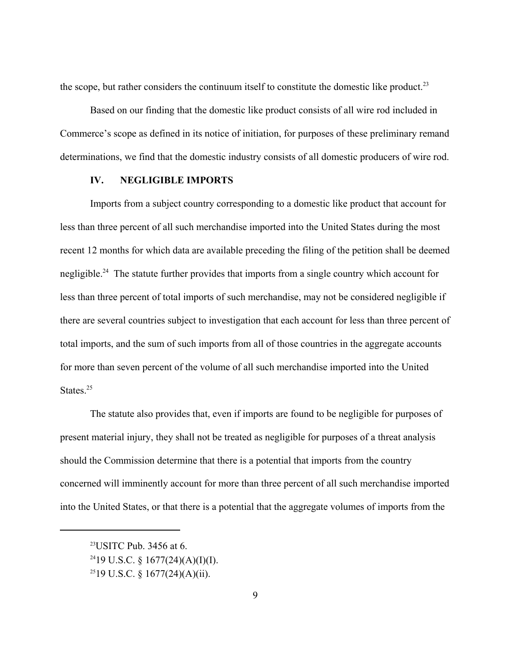the scope, but rather considers the continuum itself to constitute the domestic like product.<sup>23</sup>

Based on our finding that the domestic like product consists of all wire rod included in Commerce's scope as defined in its notice of initiation, for purposes of these preliminary remand determinations, we find that the domestic industry consists of all domestic producers of wire rod.

# **IV. NEGLIGIBLE IMPORTS**

Imports from a subject country corresponding to a domestic like product that account for less than three percent of all such merchandise imported into the United States during the most recent 12 months for which data are available preceding the filing of the petition shall be deemed negligible.<sup>24</sup> The statute further provides that imports from a single country which account for less than three percent of total imports of such merchandise, may not be considered negligible if there are several countries subject to investigation that each account for less than three percent of total imports, and the sum of such imports from all of those countries in the aggregate accounts for more than seven percent of the volume of all such merchandise imported into the United States<sup>25</sup>

The statute also provides that, even if imports are found to be negligible for purposes of present material injury, they shall not be treated as negligible for purposes of a threat analysis should the Commission determine that there is a potential that imports from the country concerned will imminently account for more than three percent of all such merchandise imported into the United States, or that there is a potential that the aggregate volumes of imports from the

<sup>23</sup>USITC Pub. 3456 at 6.

 $2419$  U.S.C. § 1677(24)(A)(I)(I).

<sup>&</sup>lt;sup>25</sup>19 U.S.C. § 1677(24)(A)(ii).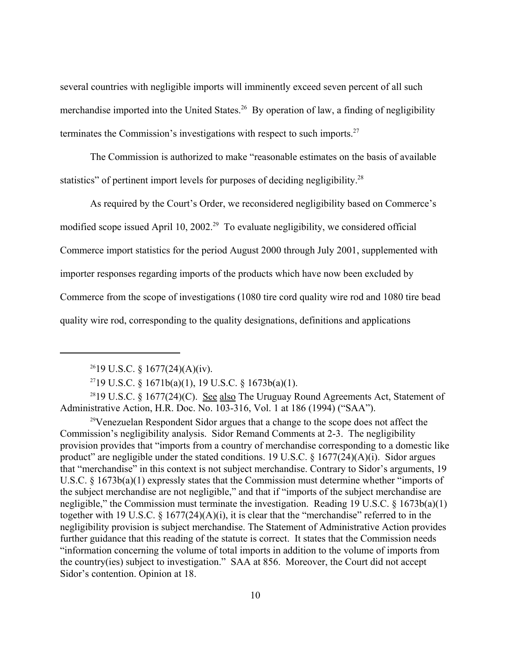several countries with negligible imports will imminently exceed seven percent of all such merchandise imported into the United States.<sup>26</sup> By operation of law, a finding of negligibility terminates the Commission's investigations with respect to such imports.<sup>27</sup>

The Commission is authorized to make "reasonable estimates on the basis of available statistics" of pertinent import levels for purposes of deciding negligibility.<sup>28</sup>

As required by the Court's Order, we reconsidered negligibility based on Commerce's modified scope issued April 10, 2002.<sup>29</sup> To evaluate negligibility, we considered official Commerce import statistics for the period August 2000 through July 2001, supplemented with importer responses regarding imports of the products which have now been excluded by Commerce from the scope of investigations (1080 tire cord quality wire rod and 1080 tire bead quality wire rod, corresponding to the quality designations, definitions and applications

<sup>28</sup>19 U.S.C. § 1677(24)(C). <u>See also</u> The Uruguay Round Agreements Act, Statement of Administrative Action, H.R. Doc. No. 103-316, Vol. 1 at 186 (1994) ("SAA").

29Venezuelan Respondent Sidor argues that a change to the scope does not affect the Commission's negligibility analysis. Sidor Remand Comments at 2-3. The negligibility provision provides that "imports from a country of merchandise corresponding to a domestic like product" are negligible under the stated conditions. 19 U.S.C.  $\S$  1677(24)(A)(i). Sidor argues that "merchandise" in this context is not subject merchandise. Contrary to Sidor's arguments, 19 U.S.C. § 1673b(a)(1) expressly states that the Commission must determine whether "imports of the subject merchandise are not negligible," and that if "imports of the subject merchandise are negligible," the Commission must terminate the investigation. Reading 19 U.S.C. § 1673b(a)(1) together with 19 U.S.C. § 1677(24)(A)(i), it is clear that the "merchandise" referred to in the negligibility provision is subject merchandise. The Statement of Administrative Action provides further guidance that this reading of the statute is correct. It states that the Commission needs "information concerning the volume of total imports in addition to the volume of imports from the country(ies) subject to investigation." SAA at 856. Moreover, the Court did not accept Sidor's contention. Opinion at 18.

 $^{26}$ 19 U.S.C. § 1677(24)(A)(iv).

<sup>&</sup>lt;sup>27</sup>19 U.S.C. § 1671b(a)(1), 19 U.S.C. § 1673b(a)(1).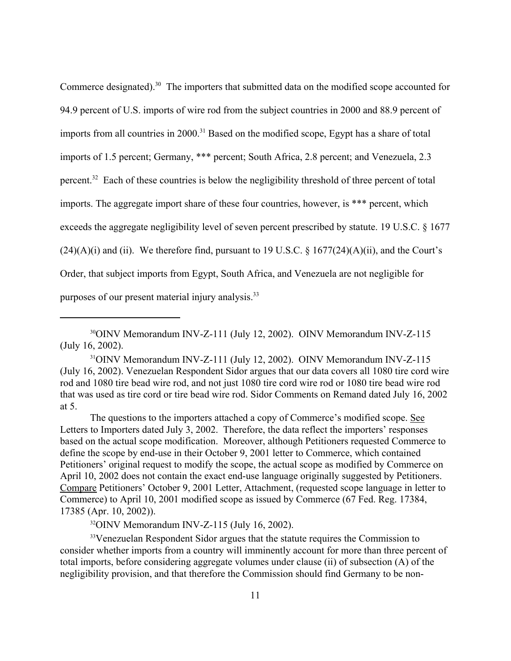Commerce designated).<sup>30</sup> The importers that submitted data on the modified scope accounted for 94.9 percent of U.S. imports of wire rod from the subject countries in 2000 and 88.9 percent of imports from all countries in 2000.<sup>31</sup> Based on the modified scope, Egypt has a share of total imports of 1.5 percent; Germany, \*\*\* percent; South Africa, 2.8 percent; and Venezuela, 2.3 percent.<sup>32</sup> Each of these countries is below the negligibility threshold of three percent of total imports. The aggregate import share of these four countries, however, is \*\*\* percent, which exceeds the aggregate negligibility level of seven percent prescribed by statute. 19 U.S.C. § 1677  $(24)(A)(i)$  and (ii). We therefore find, pursuant to 19 U.S.C. § 1677(24)(A)(ii), and the Court's Order, that subject imports from Egypt, South Africa, and Venezuela are not negligible for purposes of our present material injury analysis.<sup>33</sup>

The questions to the importers attached a copy of Commerce's modified scope. See Letters to Importers dated July 3, 2002. Therefore, the data reflect the importers' responses based on the actual scope modification. Moreover, although Petitioners requested Commerce to define the scope by end-use in their October 9, 2001 letter to Commerce, which contained Petitioners' original request to modify the scope, the actual scope as modified by Commerce on April 10, 2002 does not contain the exact end-use language originally suggested by Petitioners. Compare Petitioners' October 9, 2001 Letter, Attachment, (requested scope language in letter to Commerce) to April 10, 2001 modified scope as issued by Commerce (67 Fed. Reg. 17384, 17385 (Apr. 10, 2002)).

 $32$ OINV Memorandum INV-Z-115 (July 16, 2002).

<sup>33</sup>Venezuelan Respondent Sidor argues that the statute requires the Commission to consider whether imports from a country will imminently account for more than three percent of total imports, before considering aggregate volumes under clause (ii) of subsection (A) of the negligibility provision, and that therefore the Commission should find Germany to be non-

<sup>30</sup>OINV Memorandum INV-Z-111 (July 12, 2002). OINV Memorandum INV-Z-115 (July 16, 2002).

<sup>31</sup>OINV Memorandum INV-Z-111 (July 12, 2002). OINV Memorandum INV-Z-115 (July 16, 2002). Venezuelan Respondent Sidor argues that our data covers all 1080 tire cord wire rod and 1080 tire bead wire rod, and not just 1080 tire cord wire rod or 1080 tire bead wire rod that was used as tire cord or tire bead wire rod. Sidor Comments on Remand dated July 16, 2002 at 5.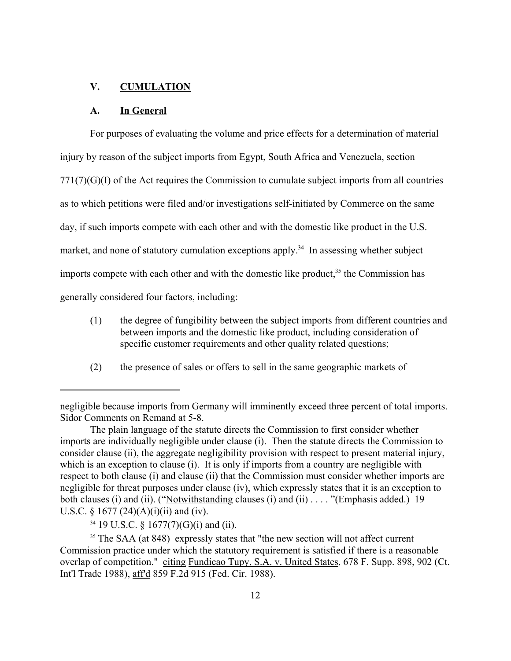### **V. CUMULATION**

### **A. In General**

For purposes of evaluating the volume and price effects for a determination of material injury by reason of the subject imports from Egypt, South Africa and Venezuela, section 771(7)(G)(I) of the Act requires the Commission to cumulate subject imports from all countries as to which petitions were filed and/or investigations self-initiated by Commerce on the same day, if such imports compete with each other and with the domestic like product in the U.S. market, and none of statutory cumulation exceptions apply.<sup>34</sup> In assessing whether subject imports compete with each other and with the domestic like product, $3<sup>5</sup>$  the Commission has generally considered four factors, including:

- (1) the degree of fungibility between the subject imports from different countries and between imports and the domestic like product, including consideration of specific customer requirements and other quality related questions;
- (2) the presence of sales or offers to sell in the same geographic markets of

negligible because imports from Germany will imminently exceed three percent of total imports. Sidor Comments on Remand at 5-8.

The plain language of the statute directs the Commission to first consider whether imports are individually negligible under clause (i). Then the statute directs the Commission to consider clause (ii), the aggregate negligibility provision with respect to present material injury, which is an exception to clause (i). It is only if imports from a country are negligible with respect to both clause (i) and clause (ii) that the Commission must consider whether imports are negligible for threat purposes under clause (iv), which expressly states that it is an exception to both clauses (i) and (ii). ("Notwithstanding clauses (i) and (ii) . . . . "(Emphasis added.) 19 U.S.C. § 1677 (24)(A)(i)(ii) and (iv).

<sup>34</sup> 19 U.S.C. § 1677(7)(G)(i) and (ii).

<sup>&</sup>lt;sup>35</sup> The SAA (at 848) expressly states that "the new section will not affect current Commission practice under which the statutory requirement is satisfied if there is a reasonable overlap of competition." citing Fundicao Tupy, S.A. v. United States, 678 F. Supp. 898, 902 (Ct. Int'l Trade 1988), aff'd 859 F.2d 915 (Fed. Cir. 1988).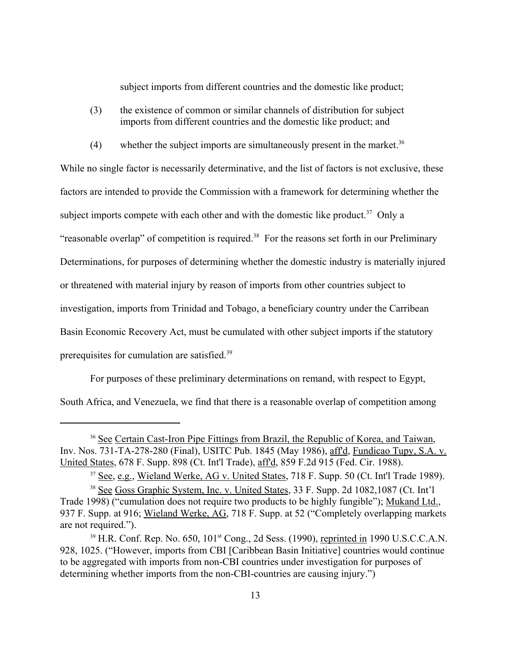subject imports from different countries and the domestic like product;

- (3) the existence of common or similar channels of distribution for subject imports from different countries and the domestic like product; and
- (4) whether the subject imports are simultaneously present in the market.<sup>36</sup>

While no single factor is necessarily determinative, and the list of factors is not exclusive, these factors are intended to provide the Commission with a framework for determining whether the subject imports compete with each other and with the domestic like product.<sup>37</sup> Only a "reasonable overlap" of competition is required.<sup>38</sup> For the reasons set forth in our Preliminary Determinations, for purposes of determining whether the domestic industry is materially injured or threatened with material injury by reason of imports from other countries subject to investigation, imports from Trinidad and Tobago, a beneficiary country under the Carribean Basin Economic Recovery Act, must be cumulated with other subject imports if the statutory prerequisites for cumulation are satisfied.39

For purposes of these preliminary determinations on remand, with respect to Egypt,

South Africa, and Venezuela, we find that there is a reasonable overlap of competition among

<sup>36</sup> See Certain Cast-Iron Pipe Fittings from Brazil, the Republic of Korea, and Taiwan, Inv. Nos. 731-TA-278-280 (Final), USITC Pub. 1845 (May 1986), aff'd, Fundicao Tupy, S.A. v. United States, 678 F. Supp. 898 (Ct. Int'l Trade), aff'd, 859 F.2d 915 (Fed. Cir. 1988).

<sup>37</sup> See, e.g., Wieland Werke, AG v. United States, 718 F. Supp. 50 (Ct. Int'l Trade 1989).

<sup>&</sup>lt;sup>38</sup> See Goss Graphic System, Inc. v. United States, 33 F. Supp. 2d 1082, 1087 (Ct. Int'l Trade 1998) ("cumulation does not require two products to be highly fungible"); Mukand Ltd., 937 F. Supp. at 916; Wieland Werke, AG, 718 F. Supp. at 52 ("Completely overlapping markets are not required.").

 $39$  H.R. Conf. Rep. No. 650,  $101<sup>st</sup>$  Cong., 2d Sess. (1990), reprinted in 1990 U.S.C.C.A.N. 928, 1025. ("However, imports from CBI [Caribbean Basin Initiative] countries would continue to be aggregated with imports from non-CBI countries under investigation for purposes of determining whether imports from the non-CBI-countries are causing injury.")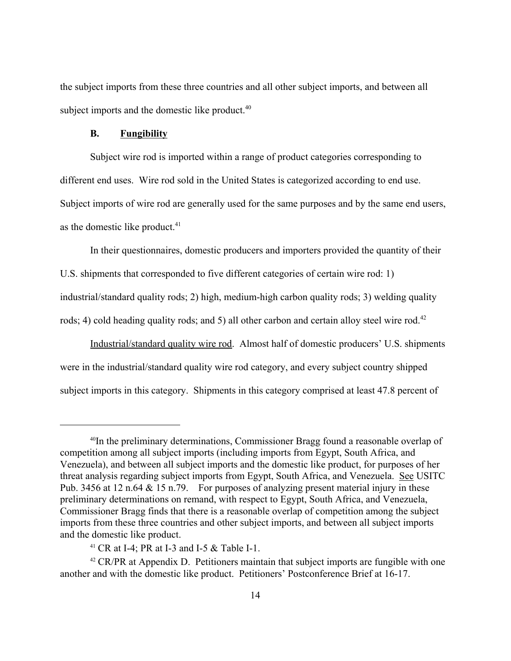the subject imports from these three countries and all other subject imports, and between all subject imports and the domestic like product.<sup>40</sup>

### **B. Fungibility**

Subject wire rod is imported within a range of product categories corresponding to different end uses. Wire rod sold in the United States is categorized according to end use. Subject imports of wire rod are generally used for the same purposes and by the same end users, as the domestic like product. $41$ 

In their questionnaires, domestic producers and importers provided the quantity of their

U.S. shipments that corresponded to five different categories of certain wire rod: 1)

industrial/standard quality rods; 2) high, medium-high carbon quality rods; 3) welding quality

rods; 4) cold heading quality rods; and 5) all other carbon and certain alloy steel wire rod.<sup>42</sup>

Industrial/standard quality wire rod. Almost half of domestic producers' U.S. shipments were in the industrial/standard quality wire rod category, and every subject country shipped subject imports in this category. Shipments in this category comprised at least 47.8 percent of

<sup>40</sup>In the preliminary determinations, Commissioner Bragg found a reasonable overlap of competition among all subject imports (including imports from Egypt, South Africa, and Venezuela), and between all subject imports and the domestic like product, for purposes of her threat analysis regarding subject imports from Egypt, South Africa, and Venezuela. See USITC Pub. 3456 at 12 n.64 & 15 n.79. For purposes of analyzing present material injury in these preliminary determinations on remand, with respect to Egypt, South Africa, and Venezuela, Commissioner Bragg finds that there is a reasonable overlap of competition among the subject imports from these three countries and other subject imports, and between all subject imports and the domestic like product.

<sup>&</sup>lt;sup>41</sup> CR at I-4; PR at I-3 and I-5  $\&$  Table I-1.

 $42$  CR/PR at Appendix D. Petitioners maintain that subject imports are fungible with one another and with the domestic like product. Petitioners' Postconference Brief at 16-17.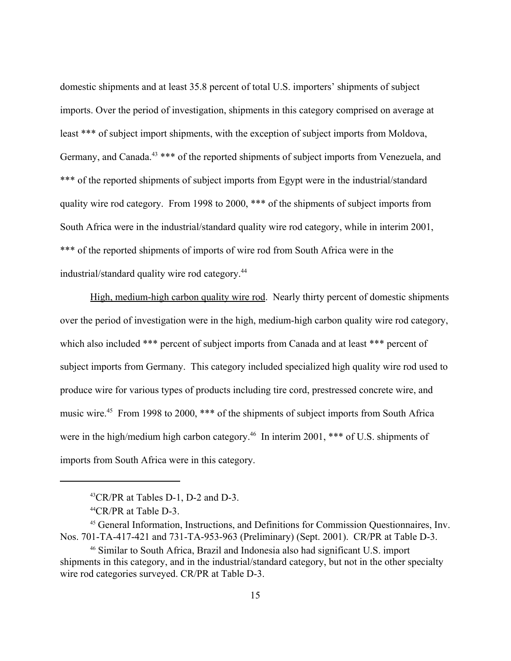domestic shipments and at least 35.8 percent of total U.S. importers' shipments of subject imports. Over the period of investigation, shipments in this category comprised on average at least \*\*\* of subject import shipments, with the exception of subject imports from Moldova, Germany, and Canada.<sup>43</sup> \*\*\* of the reported shipments of subject imports from Venezuela, and \*\*\* of the reported shipments of subject imports from Egypt were in the industrial/standard quality wire rod category. From 1998 to 2000, \*\*\* of the shipments of subject imports from South Africa were in the industrial/standard quality wire rod category, while in interim 2001, \*\*\* of the reported shipments of imports of wire rod from South Africa were in the industrial/standard quality wire rod category.44

High, medium-high carbon quality wire rod. Nearly thirty percent of domestic shipments over the period of investigation were in the high, medium-high carbon quality wire rod category, which also included \*\*\* percent of subject imports from Canada and at least \*\*\* percent of subject imports from Germany. This category included specialized high quality wire rod used to produce wire for various types of products including tire cord, prestressed concrete wire, and music wire.45 From 1998 to 2000, \*\*\* of the shipments of subject imports from South Africa were in the high/medium high carbon category.<sup>46</sup> In interim 2001, \*\*\* of U.S. shipments of imports from South Africa were in this category.

<sup>43</sup>CR/PR at Tables D-1, D-2 and D-3.

<sup>44</sup>CR/PR at Table D-3.

<sup>45</sup> General Information, Instructions, and Definitions for Commission Questionnaires, Inv. Nos. 701-TA-417-421 and 731-TA-953-963 (Preliminary) (Sept. 2001). CR/PR at Table D-3.

<sup>46</sup> Similar to South Africa, Brazil and Indonesia also had significant U.S. import shipments in this category, and in the industrial/standard category, but not in the other specialty wire rod categories surveyed. CR/PR at Table D-3.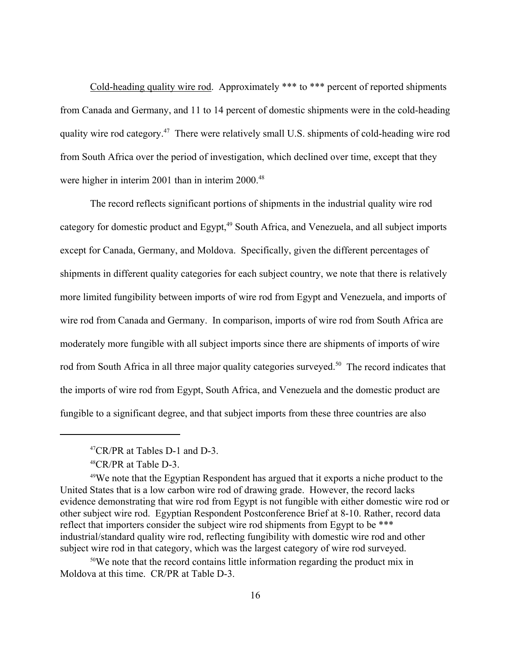Cold-heading quality wire rod. Approximately \*\*\* to \*\*\* percent of reported shipments from Canada and Germany, and 11 to 14 percent of domestic shipments were in the cold-heading quality wire rod category.47 There were relatively small U.S. shipments of cold-heading wire rod from South Africa over the period of investigation, which declined over time, except that they were higher in interim 2001 than in interim 2000.<sup>48</sup>

The record reflects significant portions of shipments in the industrial quality wire rod category for domestic product and Egypt,<sup>49</sup> South Africa, and Venezuela, and all subject imports except for Canada, Germany, and Moldova. Specifically, given the different percentages of shipments in different quality categories for each subject country, we note that there is relatively more limited fungibility between imports of wire rod from Egypt and Venezuela, and imports of wire rod from Canada and Germany. In comparison, imports of wire rod from South Africa are moderately more fungible with all subject imports since there are shipments of imports of wire rod from South Africa in all three major quality categories surveyed.<sup>50</sup> The record indicates that the imports of wire rod from Egypt, South Africa, and Venezuela and the domestic product are fungible to a significant degree, and that subject imports from these three countries are also

50We note that the record contains little information regarding the product mix in Moldova at this time. CR/PR at Table D-3.

<sup>47</sup>CR/PR at Tables D-1 and D-3.

<sup>48</sup>CR/PR at Table D-3.

<sup>49</sup>We note that the Egyptian Respondent has argued that it exports a niche product to the United States that is a low carbon wire rod of drawing grade. However, the record lacks evidence demonstrating that wire rod from Egypt is not fungible with either domestic wire rod or other subject wire rod. Egyptian Respondent Postconference Brief at 8-10. Rather, record data reflect that importers consider the subject wire rod shipments from Egypt to be \*\*\* industrial/standard quality wire rod, reflecting fungibility with domestic wire rod and other subject wire rod in that category, which was the largest category of wire rod surveyed.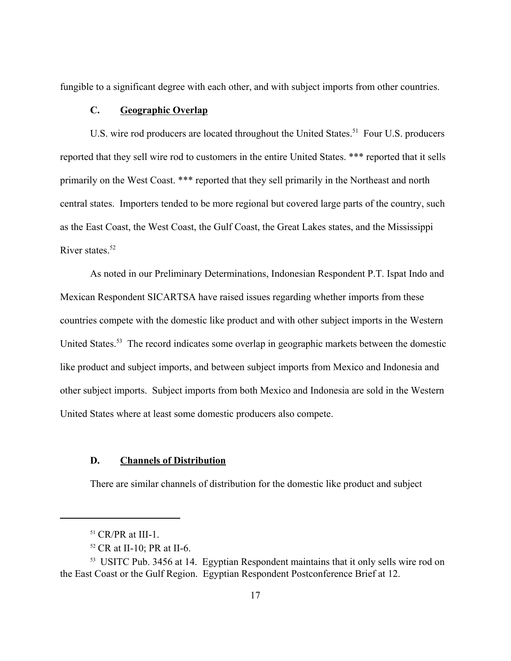fungible to a significant degree with each other, and with subject imports from other countries.

# **C. Geographic Overlap**

U.S. wire rod producers are located throughout the United States.<sup>51</sup> Four U.S. producers reported that they sell wire rod to customers in the entire United States. \*\*\* reported that it sells primarily on the West Coast. \*\*\* reported that they sell primarily in the Northeast and north central states. Importers tended to be more regional but covered large parts of the country, such as the East Coast, the West Coast, the Gulf Coast, the Great Lakes states, and the Mississippi River states  $52$ 

As noted in our Preliminary Determinations, Indonesian Respondent P.T. Ispat Indo and Mexican Respondent SICARTSA have raised issues regarding whether imports from these countries compete with the domestic like product and with other subject imports in the Western United States.<sup>53</sup> The record indicates some overlap in geographic markets between the domestic like product and subject imports, and between subject imports from Mexico and Indonesia and other subject imports. Subject imports from both Mexico and Indonesia are sold in the Western United States where at least some domestic producers also compete.

### **D. Channels of Distribution**

There are similar channels of distribution for the domestic like product and subject

 $51$  CR/PR at III-1.

<sup>52</sup> CR at II-10; PR at II-6.

<sup>&</sup>lt;sup>53</sup> USITC Pub. 3456 at 14. Egyptian Respondent maintains that it only sells wire rod on the East Coast or the Gulf Region. Egyptian Respondent Postconference Brief at 12.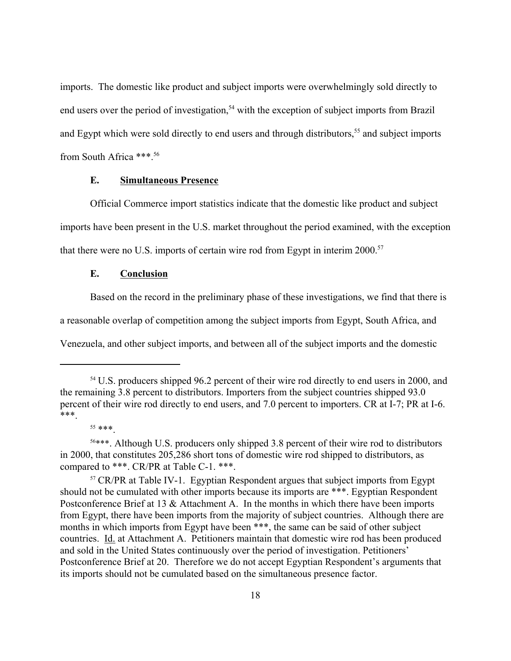imports. The domestic like product and subject imports were overwhelmingly sold directly to end users over the period of investigation,<sup>54</sup> with the exception of subject imports from Brazil and Egypt which were sold directly to end users and through distributors,<sup>55</sup> and subject imports from South Africa \*\*\*.56

# **E. Simultaneous Presence**

Official Commerce import statistics indicate that the domestic like product and subject imports have been present in the U.S. market throughout the period examined, with the exception that there were no U.S. imports of certain wire rod from Egypt in interim  $2000$ <sup>57</sup>

#### **E. Conclusion**

Based on the record in the preliminary phase of these investigations, we find that there is

a reasonable overlap of competition among the subject imports from Egypt, South Africa, and

Venezuela, and other subject imports, and between all of the subject imports and the domestic

<sup>&</sup>lt;sup>54</sup> U.S. producers shipped 96.2 percent of their wire rod directly to end users in 2000, and the remaining 3.8 percent to distributors. Importers from the subject countries shipped 93.0 percent of their wire rod directly to end users, and 7.0 percent to importers. CR at I-7; PR at I-6. \*\*\*.

<sup>55</sup> \*\*\*.

<sup>56\*\*\*.</sup> Although U.S. producers only shipped 3.8 percent of their wire rod to distributors in 2000, that constitutes 205,286 short tons of domestic wire rod shipped to distributors, as compared to \*\*\*. CR/PR at Table C-1. \*\*\*.

<sup>&</sup>lt;sup>57</sup> CR/PR at Table IV-1. Egyptian Respondent argues that subject imports from Egypt should not be cumulated with other imports because its imports are \*\*\*. Egyptian Respondent Postconference Brief at 13 & Attachment A. In the months in which there have been imports from Egypt, there have been imports from the majority of subject countries. Although there are months in which imports from Egypt have been \*\*\*, the same can be said of other subject countries. Id. at Attachment A. Petitioners maintain that domestic wire rod has been produced and sold in the United States continuously over the period of investigation. Petitioners' Postconference Brief at 20. Therefore we do not accept Egyptian Respondent's arguments that its imports should not be cumulated based on the simultaneous presence factor.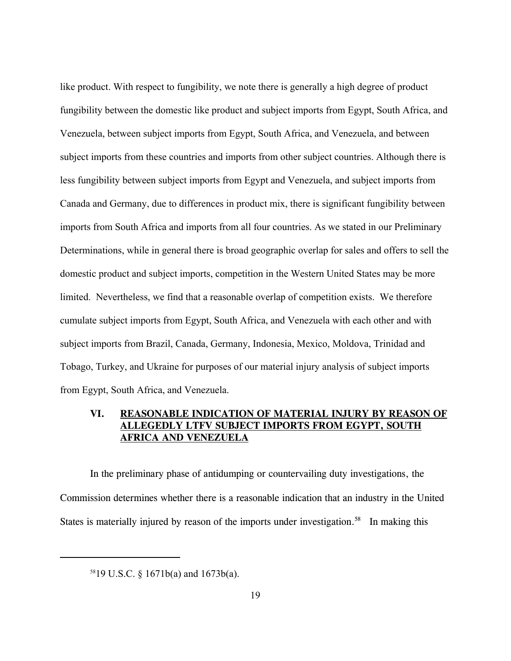like product. With respect to fungibility, we note there is generally a high degree of product fungibility between the domestic like product and subject imports from Egypt, South Africa, and Venezuela, between subject imports from Egypt, South Africa, and Venezuela, and between subject imports from these countries and imports from other subject countries. Although there is less fungibility between subject imports from Egypt and Venezuela, and subject imports from Canada and Germany, due to differences in product mix, there is significant fungibility between imports from South Africa and imports from all four countries. As we stated in our Preliminary Determinations, while in general there is broad geographic overlap for sales and offers to sell the domestic product and subject imports, competition in the Western United States may be more limited. Nevertheless, we find that a reasonable overlap of competition exists. We therefore cumulate subject imports from Egypt, South Africa, and Venezuela with each other and with subject imports from Brazil, Canada, Germany, Indonesia, Mexico, Moldova, Trinidad and Tobago, Turkey, and Ukraine for purposes of our material injury analysis of subject imports from Egypt, South Africa, and Venezuela.

# **VI. REASONABLE INDICATION OF MATERIAL INJURY BY REASON OF ALLEGEDLY LTFV SUBJECT IMPORTS FROM EGYPT, SOUTH AFRICA AND VENEZUELA**

In the preliminary phase of antidumping or countervailing duty investigations, the Commission determines whether there is a reasonable indication that an industry in the United States is materially injured by reason of the imports under investigation.<sup>58</sup> In making this

<sup>5819</sup> U.S.C. § 1671b(a) and 1673b(a).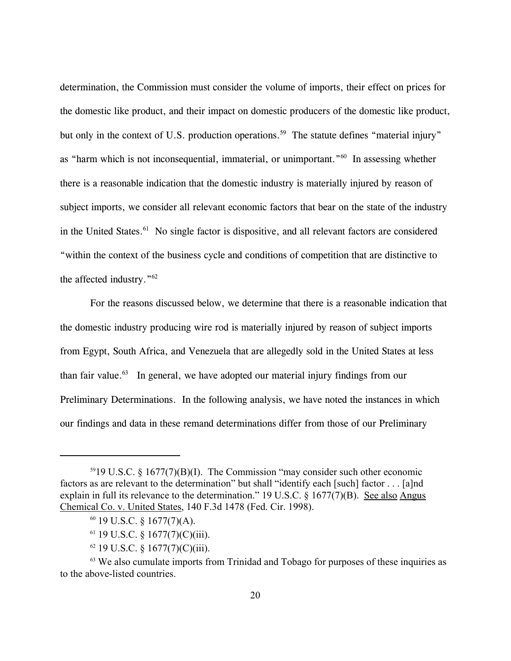determination, the Commission must consider the volume of imports, their effect on prices for the domestic like product, and their impact on domestic producers of the domestic like product, but only in the context of U.S. production operations.<sup>59</sup> The statute defines "material injury" as "harm which is not inconsequential, immaterial, or unimportant."60 In assessing whether there is a reasonable indication that the domestic industry is materially injured by reason of subject imports, we consider all relevant economic factors that bear on the state of the industry in the United States.<sup>61</sup> No single factor is dispositive, and all relevant factors are considered "within the context of the business cycle and conditions of competition that are distinctive to the affected industry."62

For the reasons discussed below, we determine that there is a reasonable indication that the domestic industry producing wire rod is materially injured by reason of subject imports from Egypt, South Africa, and Venezuela that are allegedly sold in the United States at less than fair value.<sup>63</sup> In general, we have adopted our material injury findings from our Preliminary Determinations. In the following analysis, we have noted the instances in which our findings and data in these remand determinations differ from those of our Preliminary

- $60$  19 U.S.C. § 1677(7)(A).
- $61$  19 U.S.C. § 1677(7)(C)(iii).
- $62$  19 U.S.C. § 1677(7)(C)(iii).

 $5919$  U.S.C. § 1677(7)(B)(I). The Commission "may consider such other economic factors as are relevant to the determination" but shall "identify each [such] factor . . . [a]nd explain in full its relevance to the determination." 19 U.S.C. § 1677(7)(B). See also Angus Chemical Co. v. United States, 140 F.3d 1478 (Fed. Cir. 1998).

<sup>&</sup>lt;sup>63</sup> We also cumulate imports from Trinidad and Tobago for purposes of these inquiries as to the above-listed countries.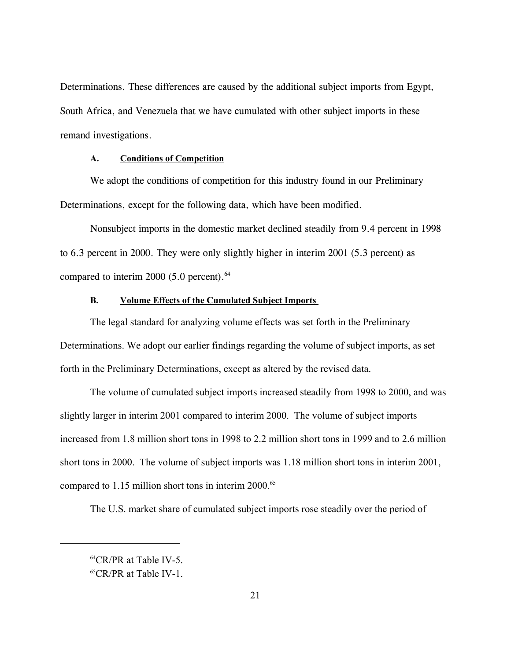Determinations. These differences are caused by the additional subject imports from Egypt, South Africa, and Venezuela that we have cumulated with other subject imports in these remand investigations.

### **A. Conditions of Competition**

We adopt the conditions of competition for this industry found in our Preliminary Determinations, except for the following data, which have been modified.

Nonsubject imports in the domestic market declined steadily from 9.4 percent in 1998 to 6.3 percent in 2000. They were only slightly higher in interim 2001 (5.3 percent) as compared to interim 2000 (5.0 percent). $64$ 

# **B. Volume Effects of the Cumulated Subject Imports**

The legal standard for analyzing volume effects was set forth in the Preliminary Determinations. We adopt our earlier findings regarding the volume of subject imports, as set forth in the Preliminary Determinations, except as altered by the revised data.

The volume of cumulated subject imports increased steadily from 1998 to 2000, and was slightly larger in interim 2001 compared to interim 2000. The volume of subject imports increased from 1.8 million short tons in 1998 to 2.2 million short tons in 1999 and to 2.6 million short tons in 2000. The volume of subject imports was 1.18 million short tons in interim 2001, compared to  $1.15$  million short tons in interim  $2000.^{65}$ 

The U.S. market share of cumulated subject imports rose steadily over the period of

<sup>64</sup>CR/PR at Table IV-5.

<sup>65</sup>CR/PR at Table IV-1.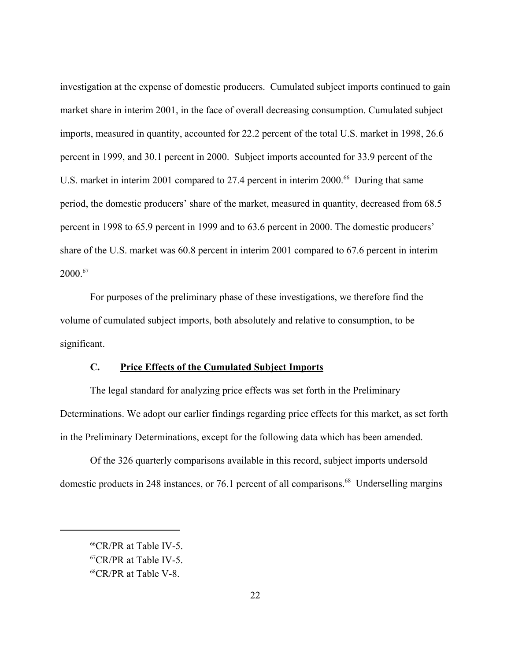investigation at the expense of domestic producers. Cumulated subject imports continued to gain market share in interim 2001, in the face of overall decreasing consumption. Cumulated subject imports, measured in quantity, accounted for 22.2 percent of the total U.S. market in 1998, 26.6 percent in 1999, and 30.1 percent in 2000. Subject imports accounted for 33.9 percent of the U.S. market in interim 2001 compared to 27.4 percent in interim 2000.<sup>66</sup> During that same period, the domestic producers' share of the market, measured in quantity, decreased from 68.5 percent in 1998 to 65.9 percent in 1999 and to 63.6 percent in 2000. The domestic producers' share of the U.S. market was 60.8 percent in interim 2001 compared to 67.6 percent in interim  $2000^{67}$ 

For purposes of the preliminary phase of these investigations, we therefore find the volume of cumulated subject imports, both absolutely and relative to consumption, to be significant.

# **C. Price Effects of the Cumulated Subject Imports**

The legal standard for analyzing price effects was set forth in the Preliminary Determinations. We adopt our earlier findings regarding price effects for this market, as set forth in the Preliminary Determinations, except for the following data which has been amended.

Of the 326 quarterly comparisons available in this record, subject imports undersold domestic products in 248 instances, or 76.1 percent of all comparisons.<sup>68</sup> Underselling margins

<sup>66</sup>CR/PR at Table IV-5.

<sup>67</sup>CR/PR at Table IV-5.

<sup>68</sup>CR/PR at Table V-8.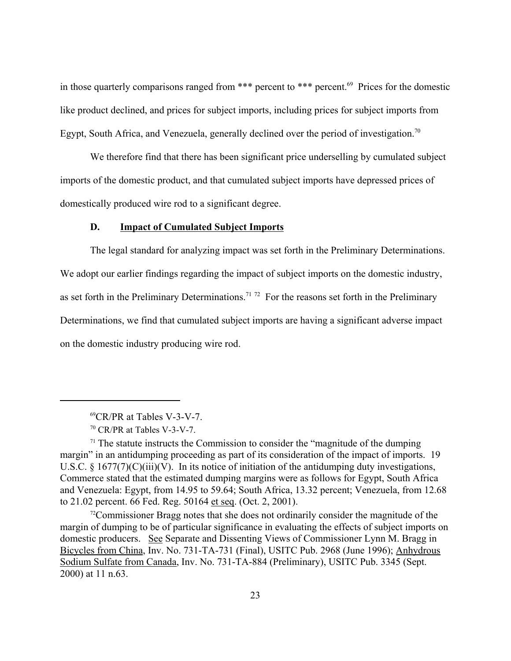in those quarterly comparisons ranged from \*\*\* percent to \*\*\* percent.<sup>69</sup> Prices for the domestic like product declined, and prices for subject imports, including prices for subject imports from Egypt, South Africa, and Venezuela, generally declined over the period of investigation.<sup>70</sup>

We therefore find that there has been significant price underselling by cumulated subject imports of the domestic product, and that cumulated subject imports have depressed prices of domestically produced wire rod to a significant degree.

### **D. Impact of Cumulated Subject Imports**

The legal standard for analyzing impact was set forth in the Preliminary Determinations. We adopt our earlier findings regarding the impact of subject imports on the domestic industry, as set forth in the Preliminary Determinations.<sup>71 72</sup> For the reasons set forth in the Preliminary Determinations, we find that cumulated subject imports are having a significant adverse impact on the domestic industry producing wire rod.

<sup>69</sup>CR/PR at Tables V-3-V-7.

<sup>70</sup> CR/PR at Tables V-3-V-7.

 $71$  The statute instructs the Commission to consider the "magnitude of the dumping" margin" in an antidumping proceeding as part of its consideration of the impact of imports. 19 U.S.C.  $\S 1677(7)(C)(iii)(V)$ . In its notice of initiation of the antidumping duty investigations, Commerce stated that the estimated dumping margins were as follows for Egypt, South Africa and Venezuela: Egypt, from 14.95 to 59.64; South Africa, 13.32 percent; Venezuela, from 12.68 to 21.02 percent. 66 Fed. Reg. 50164 et seq. (Oct. 2, 2001).

 $72$ Commissioner Bragg notes that she does not ordinarily consider the magnitude of the margin of dumping to be of particular significance in evaluating the effects of subject imports on domestic producers. See Separate and Dissenting Views of Commissioner Lynn M. Bragg in Bicycles from China, Inv. No. 731-TA-731 (Final), USITC Pub. 2968 (June 1996); Anhydrous Sodium Sulfate from Canada, Inv. No. 731-TA-884 (Preliminary), USITC Pub. 3345 (Sept. 2000) at 11 n.63.